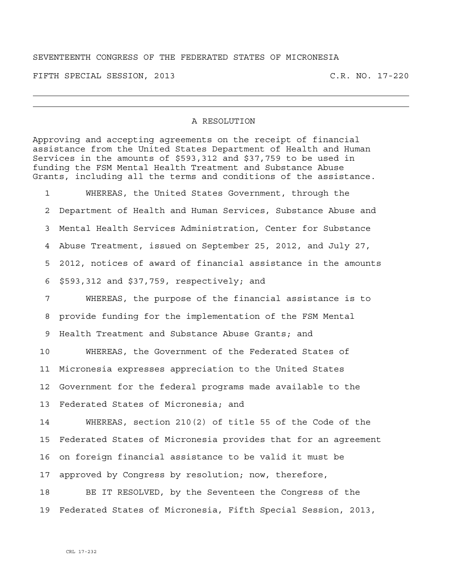## SEVENTEENTH CONGRESS OF THE FEDERATED STATES OF MICRONESIA

FIFTH SPECIAL SESSION, 2013 C.R. NO. 17-220

## A RESOLUTION

Approving and accepting agreements on the receipt of financial assistance from the United States Department of Health and Human Services in the amounts of \$593,312 and \$37,759 to be used in funding the FSM Mental Health Treatment and Substance Abuse Grants, including all the terms and conditions of the assistance.

1 WHEREAS, the United States Government, through the 2 Department of Health and Human Services, Substance Abuse and 3 Mental Health Services Administration, Center for Substance 4 Abuse Treatment, issued on September 25, 2012, and July 27, 5 2012, notices of award of financial assistance in the amounts 6 \$593,312 and \$37,759, respectively; and

7 WHEREAS, the purpose of the financial assistance is to 8 provide funding for the implementation of the FSM Mental 9 Health Treatment and Substance Abuse Grants; and

10 WHEREAS, the Government of the Federated States of 11 Micronesia expresses appreciation to the United States 12 Government for the federal programs made available to the 13 Federated States of Micronesia; and

14 WHEREAS, section 210(2) of title 55 of the Code of the 15 Federated States of Micronesia provides that for an agreement 16 on foreign financial assistance to be valid it must be 17 approved by Congress by resolution; now, therefore,

18 BE IT RESOLVED, by the Seventeen the Congress of the 19 Federated States of Micronesia, Fifth Special Session, 2013,